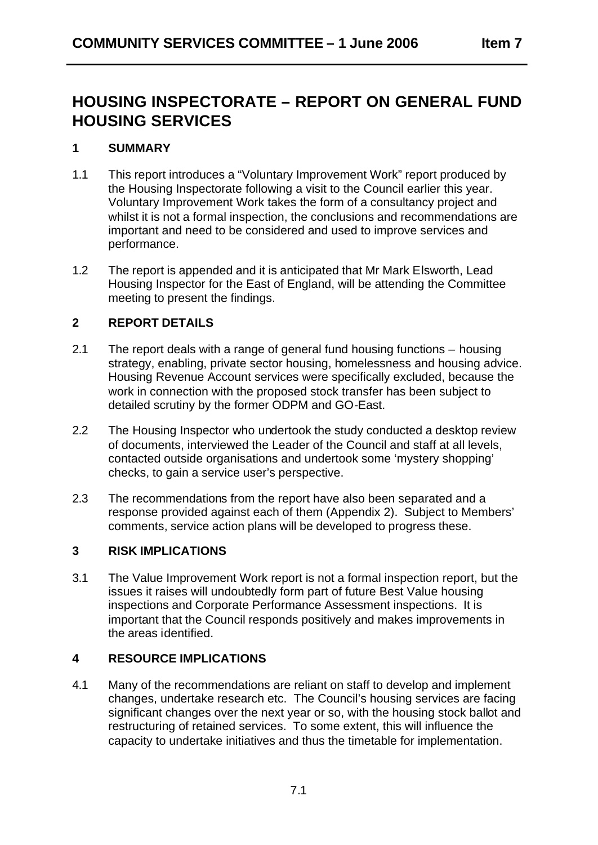# **HOUSING INSPECTORATE – REPORT ON GENERAL FUND HOUSING SERVICES**

## **1 SUMMARY**

- 1.1 This report introduces a "Voluntary Improvement Work" report produced by the Housing Inspectorate following a visit to the Council earlier this year. Voluntary Improvement Work takes the form of a consultancy project and whilst it is not a formal inspection, the conclusions and recommendations are important and need to be considered and used to improve services and performance.
- 1.2 The report is appended and it is anticipated that Mr Mark Elsworth, Lead Housing Inspector for the East of England, will be attending the Committee meeting to present the findings.

# **2 REPORT DETAILS**

- 2.1 The report deals with a range of general fund housing functions housing strategy, enabling, private sector housing, homelessness and housing advice. Housing Revenue Account services were specifically excluded, because the work in connection with the proposed stock transfer has been subject to detailed scrutiny by the former ODPM and GO-East.
- 2.2 The Housing Inspector who undertook the study conducted a desktop review of documents, interviewed the Leader of the Council and staff at all levels, contacted outside organisations and undertook some 'mystery shopping' checks, to gain a service user's perspective.
- 2.3 The recommendations from the report have also been separated and a response provided against each of them (Appendix 2). Subject to Members' comments, service action plans will be developed to progress these.

# **3 RISK IMPLICATIONS**

3.1 The Value Improvement Work report is not a formal inspection report, but the issues it raises will undoubtedly form part of future Best Value housing inspections and Corporate Performance Assessment inspections. It is important that the Council responds positively and makes improvements in the areas identified.

# **4 RESOURCE IMPLICATIONS**

4.1 Many of the recommendations are reliant on staff to develop and implement changes, undertake research etc. The Council's housing services are facing significant changes over the next year or so, with the housing stock ballot and restructuring of retained services. To some extent, this will influence the capacity to undertake initiatives and thus the timetable for implementation.